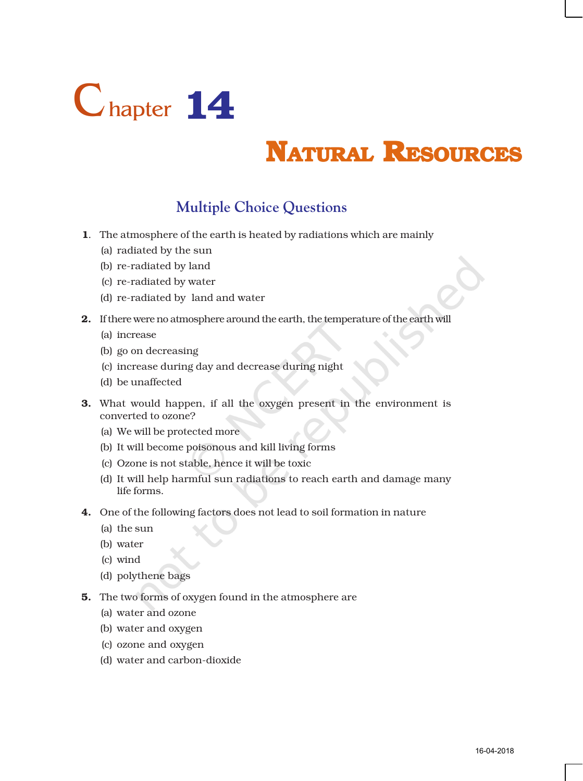

# **NATURAL RESOURCES**

## **Multiple Choice Questions**

- 1. The atmosphere of the earth is heated by radiations which are mainly
	- (a) radiated by the sun
	- (b) re-radiated by land
	- (c) re-radiated by water
	- (d) re-radiated by land and water
- 2. If there were no atmosphere around the earth, the temperature of the earth will
	- (a) increase
	- (b) go on decreasing
	- (c) increase during day and decrease during night
	- (d) be unaffected
- **3.** What would happen, if all the oxygen present in the environment is converted to ozone?
	- (a) We will be protected more
	- (b) It will become poisonous and kill living forms
	- (c) Ozone is not stable, hence it will be toxic
	- (d) It will help harmful sun radiations to reach earth and damage many life forms.
- 4. One of the following factors does not lead to soil formation in nature
	- (a) the sun
	- (b) water
	- (c) wind
	- (d) polythene bags
- 5. The two forms of oxygen found in the atmosphere are
	- (a) water and ozone
	- (b) water and oxygen
	- (c) ozone and oxygen
	- (d) water and carbon-dioxide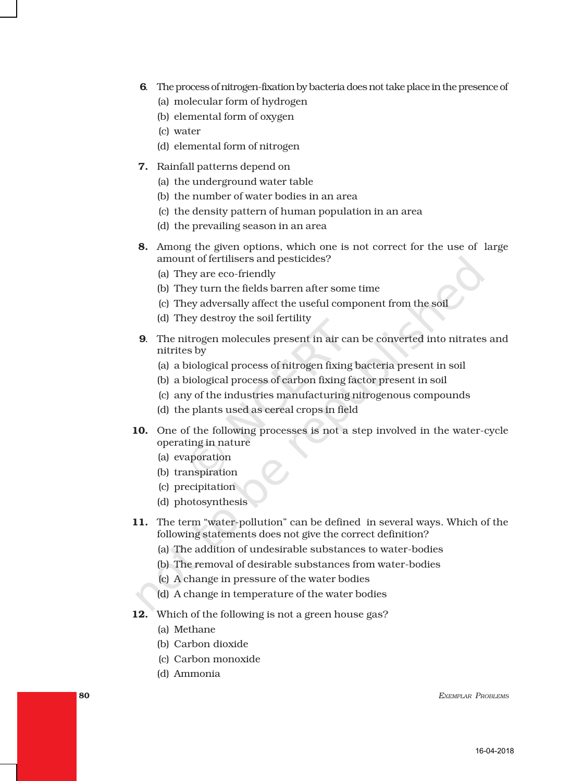- 6. The process of nitrogen-fixation by bacteria does not take place in the presence of
	- (a) molecular form of hydrogen
	- (b) elemental form of oxygen
	- (c) water
	- (d) elemental form of nitrogen
- 7. Rainfall patterns depend on
	- (a) the underground water table
	- (b) the number of water bodies in an area
	- (c) the density pattern of human population in an area
	- (d) the prevailing season in an area
- 8. Among the given options, which one is not correct for the use of large amount of fertilisers and pesticides?
	- (a) They are eco-friendly
	- (b) They turn the fields barren after some time
	- (c) They adversally affect the useful component from the soil
	- (d) They destroy the soil fertility
- 9. The nitrogen molecules present in air can be converted into nitrates and nitrites by
	- (a) a biological process of nitrogen fixing bacteria present in soil
	- (b) a biological process of carbon fixing factor present in soil
	- (c) any of the industries manufacturing nitrogenous compounds
	- (d) the plants used as cereal crops in field
- 10. One of the following processes is not a step involved in the water-cycle operating in nature
	- (a) evaporation
	- (b) transpiration
	- (c) precipitation
	- (d) photosynthesis
- 11. The term "water-pollution" can be defined in several ways. Which of the following statements does not give the correct definition?
	- (a) The addition of undesirable substances to water-bodies
	- (b) The removal of desirable substances from water-bodies
	- (c) A change in pressure of the water bodies
	- (d) A change in temperature of the water bodies
- 12. Which of the following is not a green house gas?
	- (a) Methane
	- (b) Carbon dioxide
	- (c) Carbon monoxide
	- (d) Ammonia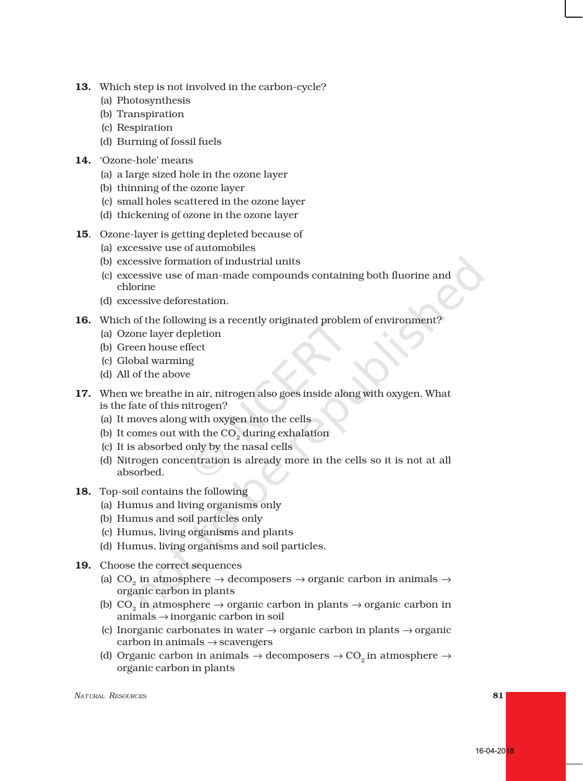- 13. Which step is not involved in the carbon-cycle?
	- (a) Photosynthesis
	- (b) Transpiration
	- (c) Respiration
	- (d) Burning of fossil fuels
- 14. 'Ozone-hole' means
	- (a) a large sized hole in the ozone layer
	- (b) thinning of the ozone layer
	- (c) small holes scattered in the ozone layer
	- (d) thickening of ozone in the ozone layer
- 15. Ozone-layer is getting depleted because of
	- (a) excessive use of automobiles
	- (b) excessive formation of industrial units
	- (c) excessive use of man-made compounds containing both fluorine and chlorine
	- (d) excessive deforestation.
- 16. Which of the following is a recently originated problem of environment?
	- (a) Ozone layer depletion
	- (b) Green house effect
	- (c) Global warming
	- (d) All of the above
- 17. When we breathe in air, nitrogen also goes inside along with oxygen. What is the fate of this nitrogen?
	- (a) It moves along with oxygen into the cells
	- (b) It comes out with the CO<sub>2</sub> during exhalation
	- (c) It is absorbed only by the nasal cells
	- (d) Nitrogen concentration is already more in the cells so it is not at all absorbed.
- 18. Top-soil contains the following
	- (a) Humus and living organisms only
	- (b) Humus and soil particles only
	- (c) Humus, living organisms and plants
	- (d) Humus, living organisms and soil particles.
- 19. Choose the correct sequences
	- (a) CO<sub>2</sub> in atmosphere  $\rightarrow$  decomposers  $\rightarrow$  organic carbon in animals  $\rightarrow$ organic carbon in plants
	- (b) CO<sub>2</sub> in atmosphere  $\rightarrow$  organic carbon in plants  $\rightarrow$  organic carbon in animals → inorganic carbon in soil
	- (c) Inorganic carbonates in water  $\rightarrow$  organic carbon in plants  $\rightarrow$  organic  $carbon in animals \rightarrow scavengers$
	- (d) Organic carbon in animals  $\rightarrow$  decomposers  $\rightarrow$  CO<sub>2</sub> in atmosphere  $\rightarrow$ organic carbon in plants

*ATURAL RESOURCES* 81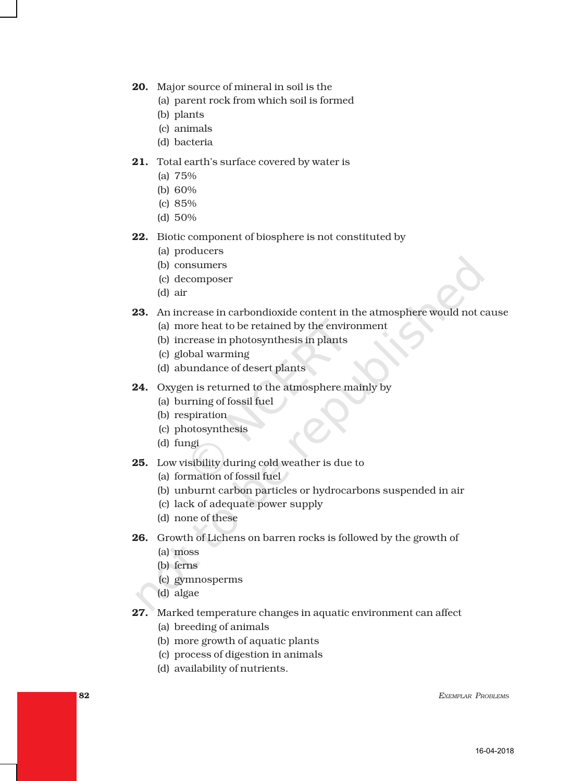- 20. Major source of mineral in soil is the
	- (a) parent rock from which soil is formed
	- (b) plants
	- (c) animals
	- (d) bacteria

#### 21. Total earth's surface covered by water is

- (a) 75%
- (b) 60%
- (c) 85%
- (d) 50%
- 22. Biotic component of biosphere is not constituted by
	- (a) producers
	- (b) consumers
	- (c) decomposer
	- (d) air
- 23. An increase in carbondioxide content in the atmosphere would not cause
	- (a) more heat to be retained by the environment
	- (b) increase in photosynthesis in plants
	- (c) global warming
	- (d) abundance of desert plants
- 24. Oxygen is returned to the atmosphere mainly by
	- (a) burning of fossil fuel
	- (b) respiration
	- (c) photosynthesis
	- (d) fungi
- 25. Low visibility during cold weather is due to
	- (a) formation of fossil fuel
	- (b) unburnt carbon particles or hydrocarbons suspended in air
	- (c) lack of adequate power supply
	- (d) none of these
- 26. Growth of Lichens on barren rocks is followed by the growth of
	- (a) moss
	- (b) ferns
	- (c) gymnosperms
	- (d) algae
- 27. Marked temperature changes in aquatic environment can affect
	- (a) breeding of animals
	- (b) more growth of aquatic plants
	- (c) process of digestion in animals
	- (d) availability of nutrients.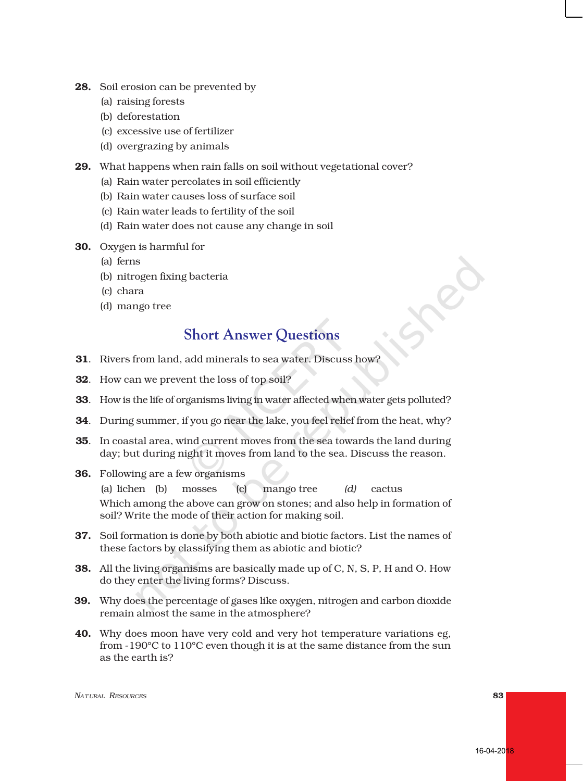- 28. Soil erosion can be prevented by
	- (a) raising forests
	- (b) deforestation
	- (c) excessive use of fertilizer
	- (d) overgrazing by animals
- 29. What happens when rain falls on soil without vegetational cover?
	- (a) Rain water percolates in soil efficiently
	- (b) Rain water causes loss of surface soil
	- (c) Rain water leads to fertility of the soil
	- (d) Rain water does not cause any change in soil
- 30. Oxygen is harmful for
	- (a) ferns
	- (b) nitrogen fixing bacteria
	- (c) chara
	- (d) mango tree

### **Short Answer Questions**

- 31. Rivers from land, add minerals to sea water. Discuss how?
- 32. How can we prevent the loss of top soil?
- 33. How is the life of organisms living in water affected when water gets polluted?
- 34. During summer, if you go near the lake, you feel relief from the heat, why?
- 35. In coastal area, wind current moves from the sea towards the land during day; but during night it moves from land to the sea. Discuss the reason.
- 36. Following are a few organisms

(a) lichen (b) mosses (c) mango tree *(d)* cactus Which among the above can grow on stones; and also help in formation of soil? Write the mode of their action for making soil.

- 37. Soil formation is done by both abiotic and biotic factors. List the names of these factors by classifying them as abiotic and biotic?
- 38. All the living organisms are basically made up of C, N, S, P, H and O. How do they enter the living forms? Discuss.
- 39. Why does the percentage of gases like oxygen, nitrogen and carbon dioxide remain almost the same in the atmosphere?
- 40. Why does moon have very cold and very hot temperature variations eg, from -190°C to 110°C even though it is at the same distance from the sun as the earth is?